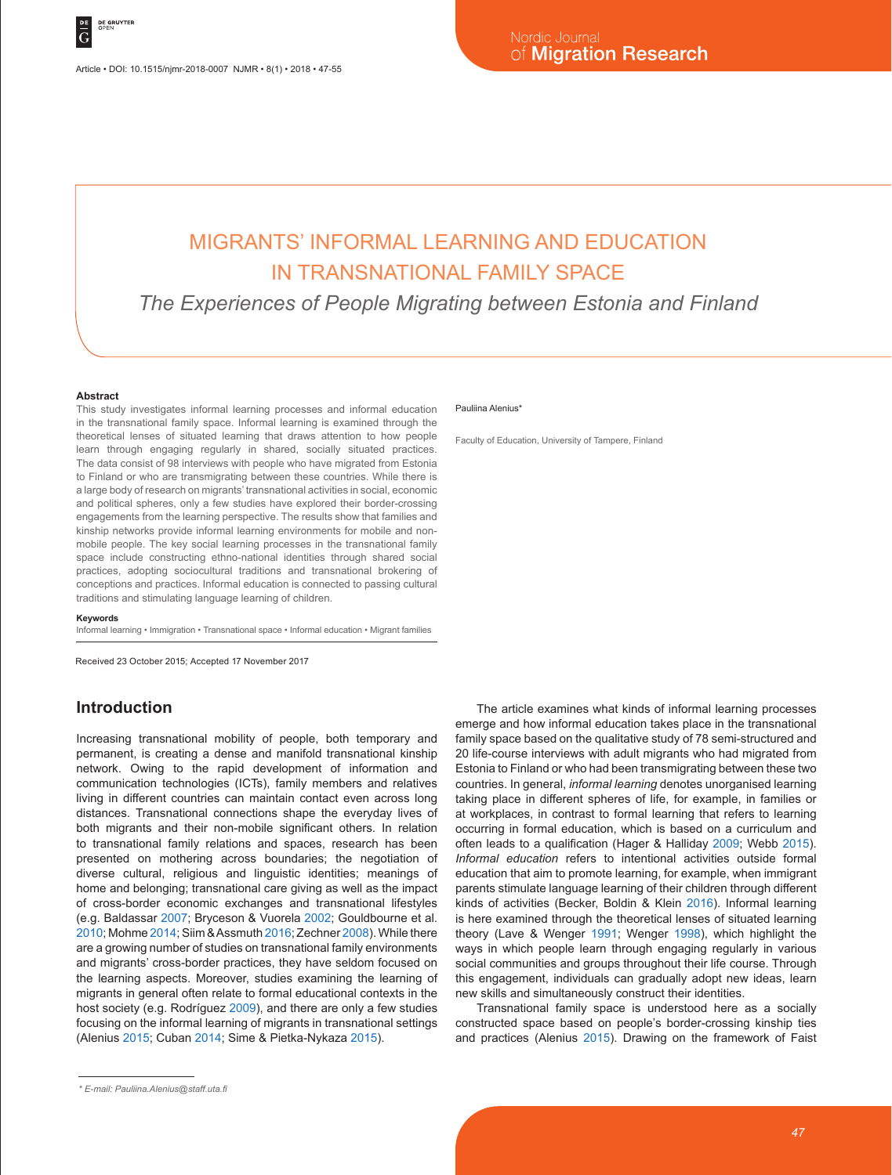# MIGRANTS' INFORMAL LEARNING AND EDUCATION IN TRANSNATIONAL FAMILY SPACE

*The Experiences of People Migrating between Estonia and Finland*

#### **Abstract**

This study investigates informal learning processes and informal education in the transnational family space. Informal learning is examined through the theoretical lenses of situated learning that draws attention to how people learn through engaging regularly in shared, socially situated practices. The data consist of 98 interviews with people who have migrated from Estonia to Finland or who are transmigrating between these countries. While there is a large body of research on migrants' transnational activities in social, economic and political spheres, only a few studies have explored their border-crossing engagements from the learning perspective. The results show that families and kinship networks provide informal learning environments for mobile and nonmobile people. The key social learning processes in the transnational family space include constructing ethno-national identities through shared social practices, adopting sociocultural traditions and transnational brokering of conceptions and practices. Informal education is connected to passing cultural traditions and stimulating language learning of children.

#### **Keywords**

Informal learning • Immigration • Transnational space • Informal education • Migrant families

Received 23 October 2015; Accepted 17 November 2017

### **Introduction**

Increasing transnational mobility of people, both temporary and permanent, is creating a dense and manifold transnational kinship network. Owing to the rapid development of information and communication technologies (ICTs), family members and relatives living in different countries can maintain contact even across long distances. Transnational connections shape the everyday lives of both migrants and their non-mobile significant others. In relation to transnational family relations and spaces, research has been presented on mothering across boundaries; the negotiation of diverse cultural, religious and linguistic identities; meanings of home and belonging; transnational care giving as well as the impact of cross-border economic exchanges and transnational lifestyles (e.g. Baldassar 2007; Bryceson & Vuorela 2002; Gouldbourne et al. 2010; Mohme 2014; Siim & Assmuth 2016; Zechner 2008). While there are a growing number of studies on transnational family environments and migrants' cross-border practices, they have seldom focused on the learning aspects. Moreover, studies examining the learning of migrants in general often relate to formal educational contexts in the host society (e.g. Rodríguez 2009), and there are only a few studies focusing on the informal learning of migrants in transnational settings (Alenius 2015; Cuban 2014; Sime & Pietka-Nykaza 2015).

#### Pauliina Alenius\*

Faculty of Education, University of Tampere, Finland

The article examines what kinds of informal learning processes emerge and how informal education takes place in the transnational family space based on the qualitative study of 78 semi-structured and 20 life-course interviews with adult migrants who had migrated from Estonia to Finland or who had been transmigrating between these two countries. In general, *informal learning* denotes unorganised learning taking place in different spheres of life, for example, in families or at workplaces, in contrast to formal learning that refers to learning occurring in formal education, which is based on a curriculum and often leads to a qualification (Hager & Halliday 2009; Webb 2015). *Informal education* refers to intentional activities outside formal education that aim to promote learning, for example, when immigrant parents stimulate language learning of their children through different kinds of activities (Becker, Boldin & Klein 2016). Informal learning is here examined through the theoretical lenses of situated learning theory (Lave & Wenger 1991; Wenger 1998), which highlight the ways in which people learn through engaging regularly in various social communities and groups throughout their life course. Through this engagement, individuals can gradually adopt new ideas, learn new skills and simultaneously construct their identities.

Transnational family space is understood here as a socially constructed space based on people's border-crossing kinship ties and practices (Alenius 2015). Drawing on the framework of Faist

*<sup>\*</sup> E-mail: Pauliina.Alenius@staff.uta.fi*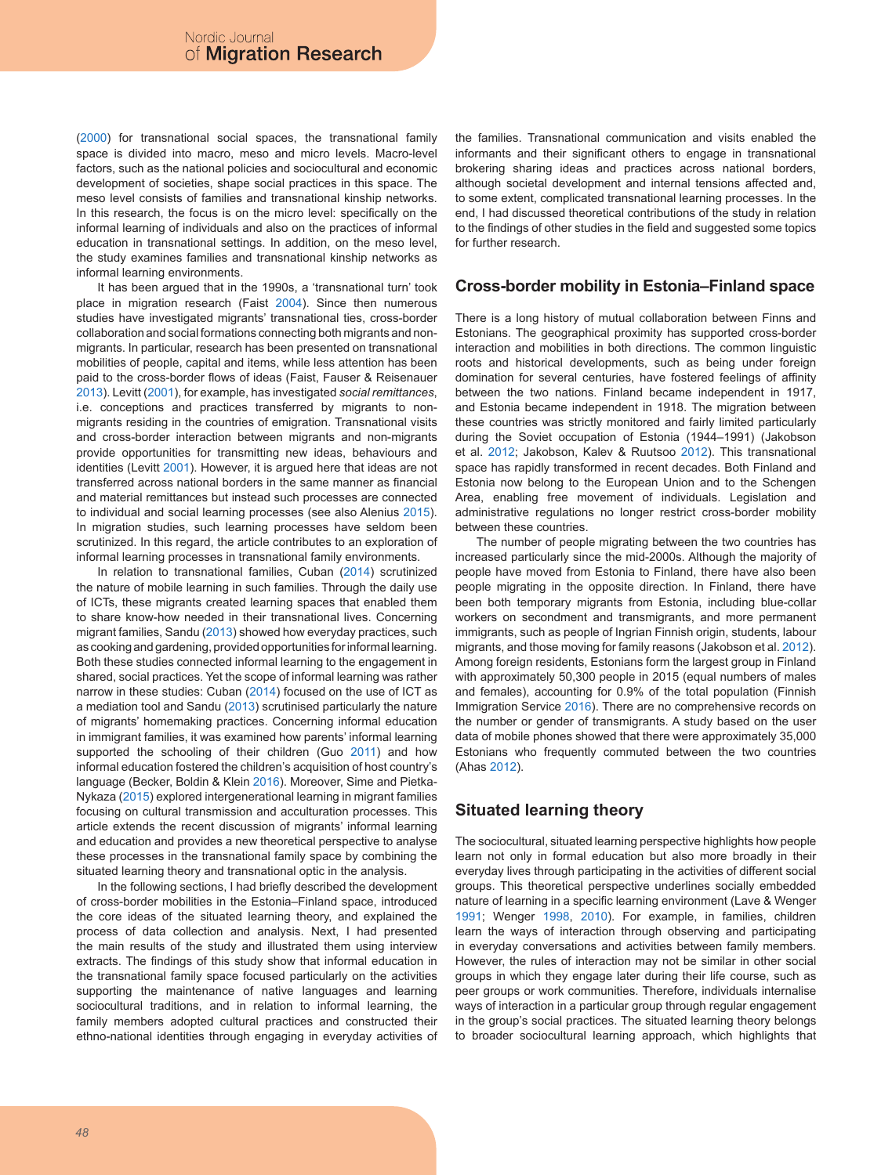(2000) for transnational social spaces, the transnational family space is divided into macro, meso and micro levels. Macro-level factors, such as the national policies and sociocultural and economic development of societies, shape social practices in this space. The meso level consists of families and transnational kinship networks. In this research, the focus is on the micro level: specifically on the informal learning of individuals and also on the practices of informal education in transnational settings. In addition, on the meso level, the study examines families and transnational kinship networks as informal learning environments.

It has been argued that in the 1990s, a 'transnational turn' took place in migration research (Faist 2004). Since then numerous studies have investigated migrants' transnational ties, cross-border collaboration and social formations connecting both migrants and nonmigrants. In particular, research has been presented on transnational mobilities of people, capital and items, while less attention has been paid to the cross-border flows of ideas (Faist, Fauser & Reisenauer 2013). Levitt (2001), for example, has investigated *social remittances*, i.e. conceptions and practices transferred by migrants to nonmigrants residing in the countries of emigration. Transnational visits and cross-border interaction between migrants and non-migrants provide opportunities for transmitting new ideas, behaviours and identities (Levitt 2001). However, it is argued here that ideas are not transferred across national borders in the same manner as financial and material remittances but instead such processes are connected to individual and social learning processes (see also Alenius 2015). In migration studies, such learning processes have seldom been scrutinized. In this regard, the article contributes to an exploration of informal learning processes in transnational family environments.

In relation to transnational families, Cuban (2014) scrutinized the nature of mobile learning in such families. Through the daily use of ICTs, these migrants created learning spaces that enabled them to share know-how needed in their transnational lives. Concerning migrant families, Sandu (2013) showed how everyday practices, such as cooking and gardening, provided opportunities for informal learning. Both these studies connected informal learning to the engagement in shared, social practices. Yet the scope of informal learning was rather narrow in these studies: Cuban (2014) focused on the use of ICT as a mediation tool and Sandu (2013) scrutinised particularly the nature of migrants' homemaking practices. Concerning informal education in immigrant families, it was examined how parents' informal learning supported the schooling of their children (Guo 2011) and how informal education fostered the children's acquisition of host country's language (Becker, Boldin & Klein 2016). Moreover, Sime and Pietka-Nykaza (2015) explored intergenerational learning in migrant families focusing on cultural transmission and acculturation processes. This article extends the recent discussion of migrants' informal learning and education and provides a new theoretical perspective to analyse these processes in the transnational family space by combining the situated learning theory and transnational optic in the analysis.

In the following sections, I had briefly described the development of cross-border mobilities in the Estonia–Finland space, introduced the core ideas of the situated learning theory, and explained the process of data collection and analysis. Next, I had presented the main results of the study and illustrated them using interview extracts. The findings of this study show that informal education in the transnational family space focused particularly on the activities supporting the maintenance of native languages and learning sociocultural traditions, and in relation to informal learning, the family members adopted cultural practices and constructed their ethno-national identities through engaging in everyday activities of the families. Transnational communication and visits enabled the informants and their significant others to engage in transnational brokering sharing ideas and practices across national borders, although societal development and internal tensions affected and, to some extent, complicated transnational learning processes. In the end, I had discussed theoretical contributions of the study in relation to the findings of other studies in the field and suggested some topics for further research.

#### **Cross-border mobility in Estonia–Finland space**

There is a long history of mutual collaboration between Finns and Estonians. The geographical proximity has supported cross-border interaction and mobilities in both directions. The common linguistic roots and historical developments, such as being under foreign domination for several centuries, have fostered feelings of affinity between the two nations. Finland became independent in 1917, and Estonia became independent in 1918. The migration between these countries was strictly monitored and fairly limited particularly during the Soviet occupation of Estonia (1944–1991) (Jakobson et al. 2012; Jakobson, Kalev & Ruutsoo 2012). This transnational space has rapidly transformed in recent decades. Both Finland and Estonia now belong to the European Union and to the Schengen Area, enabling free movement of individuals. Legislation and administrative regulations no longer restrict cross-border mobility between these countries.

The number of people migrating between the two countries has increased particularly since the mid-2000s. Although the majority of people have moved from Estonia to Finland, there have also been people migrating in the opposite direction. In Finland, there have been both temporary migrants from Estonia, including blue-collar workers on secondment and transmigrants, and more permanent immigrants, such as people of Ingrian Finnish origin, students, labour migrants, and those moving for family reasons (Jakobson et al. 2012). Among foreign residents, Estonians form the largest group in Finland with approximately 50,300 people in 2015 (equal numbers of males and females), accounting for 0.9% of the total population (Finnish Immigration Service 2016). There are no comprehensive records on the number or gender of transmigrants. A study based on the user data of mobile phones showed that there were approximately 35,000 Estonians who frequently commuted between the two countries (Ahas 2012).

#### **Situated learning theory**

The sociocultural, situated learning perspective highlights how people learn not only in formal education but also more broadly in their everyday lives through participating in the activities of different social groups. This theoretical perspective underlines socially embedded nature of learning in a specific learning environment (Lave & Wenger 1991; Wenger 1998, 2010). For example, in families, children learn the ways of interaction through observing and participating in everyday conversations and activities between family members. However, the rules of interaction may not be similar in other social groups in which they engage later during their life course, such as peer groups or work communities. Therefore, individuals internalise ways of interaction in a particular group through regular engagement in the group's social practices. The situated learning theory belongs to broader sociocultural learning approach, which highlights that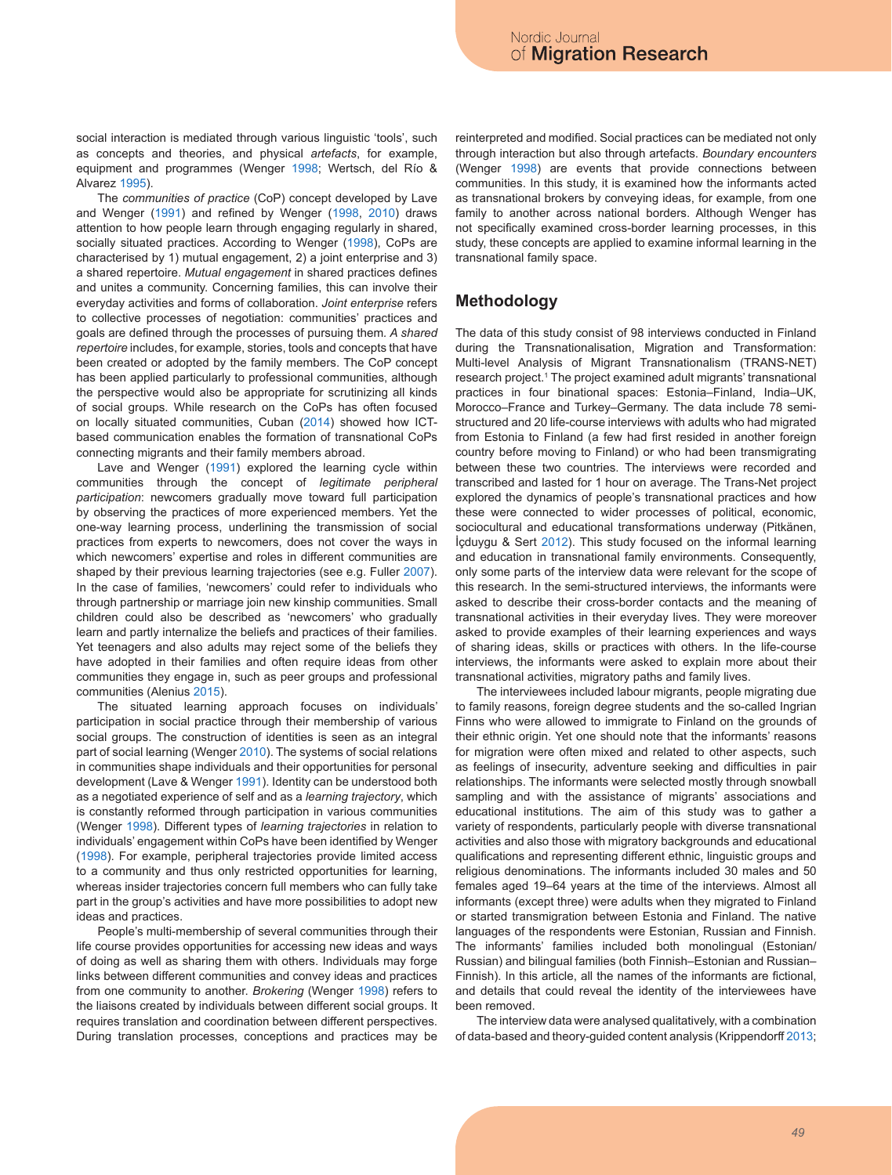social interaction is mediated through various linguistic 'tools', such as concepts and theories, and physical *artefacts*, for example, equipment and programmes (Wenger 1998; Wertsch, del Río & Alvarez 1995).

The *communities of practice* (CoP) concept developed by Lave and Wenger (1991) and refined by Wenger (1998, 2010) draws attention to how people learn through engaging regularly in shared, socially situated practices. According to Wenger (1998), CoPs are characterised by 1) mutual engagement, 2) a joint enterprise and 3) a shared repertoire. *Mutual engagement* in shared practices defines and unites a community. Concerning families, this can involve their everyday activities and forms of collaboration. *Joint enterprise* refers to collective processes of negotiation: communities' practices and goals are defined through the processes of pursuing them*. A shared repertoire* includes, for example, stories, tools and concepts that have been created or adopted by the family members. The CoP concept has been applied particularly to professional communities, although the perspective would also be appropriate for scrutinizing all kinds of social groups. While research on the CoPs has often focused on locally situated communities, Cuban (2014) showed how ICTbased communication enables the formation of transnational CoPs connecting migrants and their family members abroad.

Lave and Wenger (1991) explored the learning cycle within communities through the concept of *legitimate peripheral participation*: newcomers gradually move toward full participation by observing the practices of more experienced members. Yet the one-way learning process, underlining the transmission of social practices from experts to newcomers, does not cover the ways in which newcomers' expertise and roles in different communities are shaped by their previous learning trajectories (see e.g. Fuller 2007). In the case of families, 'newcomers' could refer to individuals who through partnership or marriage join new kinship communities. Small children could also be described as 'newcomers' who gradually learn and partly internalize the beliefs and practices of their families. Yet teenagers and also adults may reject some of the beliefs they have adopted in their families and often require ideas from other communities they engage in, such as peer groups and professional communities (Alenius 2015).

The situated learning approach focuses on individuals' participation in social practice through their membership of various social groups. The construction of identities is seen as an integral part of social learning (Wenger 2010). The systems of social relations in communities shape individuals and their opportunities for personal development (Lave & Wenger 1991). Identity can be understood both as a negotiated experience of self and as a *learning trajectory*, which is constantly reformed through participation in various communities (Wenger 1998). Different types of *learning trajectories* in relation to individuals' engagement within CoPs have been identified by Wenger (1998). For example, peripheral trajectories provide limited access to a community and thus only restricted opportunities for learning, whereas insider trajectories concern full members who can fully take part in the group's activities and have more possibilities to adopt new ideas and practices.

People's multi-membership of several communities through their life course provides opportunities for accessing new ideas and ways of doing as well as sharing them with others. Individuals may forge links between different communities and convey ideas and practices from one community to another. *Brokering* (Wenger 1998) refers to the liaisons created by individuals between different social groups. It requires translation and coordination between different perspectives. During translation processes, conceptions and practices may be

reinterpreted and modified. Social practices can be mediated not only through interaction but also through artefacts. *Boundary encounters* (Wenger 1998) are events that provide connections between communities. In this study, it is examined how the informants acted as transnational brokers by conveying ideas, for example, from one family to another across national borders. Although Wenger has not specifically examined cross-border learning processes, in this study, these concepts are applied to examine informal learning in the transnational family space.

### **Methodology**

The data of this study consist of 98 interviews conducted in Finland during the Transnationalisation, Migration and Transformation: Multi-level Analysis of Migrant Transnationalism (TRANS-NET) research project.<sup>1</sup> The project examined adult migrants' transnational practices in four binational spaces: Estonia–Finland, India–UK, Morocco–France and Turkey–Germany. The data include 78 semistructured and 20 life-course interviews with adults who had migrated from Estonia to Finland (a few had first resided in another foreign country before moving to Finland) or who had been transmigrating between these two countries. The interviews were recorded and transcribed and lasted for 1 hour on average. The Trans-Net project explored the dynamics of people's transnational practices and how these were connected to wider processes of political, economic, sociocultural and educational transformations underway (Pitkänen, İçduygu & Sert 2012). This study focused on the informal learning and education in transnational family environments. Consequently, only some parts of the interview data were relevant for the scope of this research. In the semi-structured interviews, the informants were asked to describe their cross-border contacts and the meaning of transnational activities in their everyday lives. They were moreover asked to provide examples of their learning experiences and ways of sharing ideas, skills or practices with others. In the life-course interviews, the informants were asked to explain more about their transnational activities, migratory paths and family lives.

The interviewees included labour migrants, people migrating due to family reasons, foreign degree students and the so-called Ingrian Finns who were allowed to immigrate to Finland on the grounds of their ethnic origin. Yet one should note that the informants' reasons for migration were often mixed and related to other aspects, such as feelings of insecurity, adventure seeking and difficulties in pair relationships. The informants were selected mostly through snowball sampling and with the assistance of migrants' associations and educational institutions. The aim of this study was to gather a variety of respondents, particularly people with diverse transnational activities and also those with migratory backgrounds and educational qualifications and representing different ethnic, linguistic groups and religious denominations. The informants included 30 males and 50 females aged 19–64 years at the time of the interviews. Almost all informants (except three) were adults when they migrated to Finland or started transmigration between Estonia and Finland. The native languages of the respondents were Estonian, Russian and Finnish. The informants' families included both monolingual (Estonian/ Russian) and bilingual families (both Finnish–Estonian and Russian– Finnish). In this article, all the names of the informants are fictional, and details that could reveal the identity of the interviewees have been removed.

The interview data were analysed qualitatively, with a combination of data-based and theory-guided content analysis (Krippendorff 2013;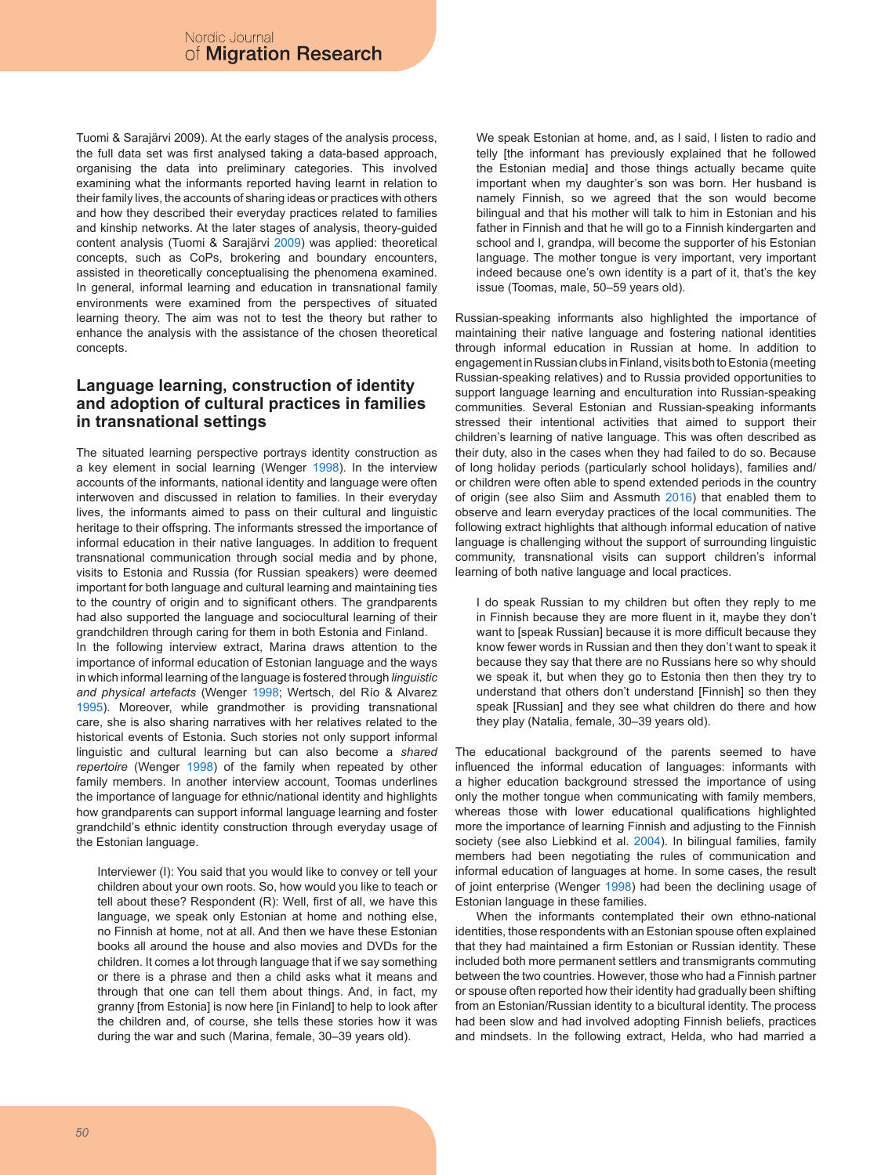Tuomi & Sarajärvi 2009). At the early stages of the analysis process, the full data set was first analysed taking a data-based approach, organising the data into preliminary categories. This involved examining what the informants reported having learnt in relation to their family lives, the accounts of sharing ideas or practices with others and how they described their everyday practices related to families and kinship networks. At the later stages of analysis, theory-guided content analysis (Tuomi & Sarajärvi 2009) was applied: theoretical concepts, such as CoPs, brokering and boundary encounters, assisted in theoretically conceptualising the phenomena examined. In general, informal learning and education in transnational family environments were examined from the perspectives of situated learning theory. The aim was not to test the theory but rather to enhance the analysis with the assistance of the chosen theoretical concepts.

## **Language learning, construction of identity and adoption of cultural practices in families in transnational settings**

The situated learning perspective portrays identity construction as a key element in social learning (Wenger 1998). In the interview accounts of the informants, national identity and language were often interwoven and discussed in relation to families. In their everyday lives, the informants aimed to pass on their cultural and linguistic heritage to their offspring. The informants stressed the importance of informal education in their native languages. In addition to frequent transnational communication through social media and by phone, visits to Estonia and Russia (for Russian speakers) were deemed important for both language and cultural learning and maintaining ties to the country of origin and to significant others. The grandparents had also supported the language and sociocultural learning of their grandchildren through caring for them in both Estonia and Finland. In the following interview extract, Marina draws attention to the importance of informal education of Estonian language and the ways in which informal learning of the language is fostered through *linguistic* 

*and physical artefacts* (Wenger 1998; Wertsch, del Río & Alvarez 1995). Moreover, while grandmother is providing transnational care, she is also sharing narratives with her relatives related to the historical events of Estonia. Such stories not only support informal linguistic and cultural learning but can also become a *shared repertoire* (Wenger 1998) of the family when repeated by other family members. In another interview account, Toomas underlines the importance of language for ethnic/national identity and highlights how grandparents can support informal language learning and foster grandchild's ethnic identity construction through everyday usage of the Estonian language.

Interviewer (I): You said that you would like to convey or tell your children about your own roots. So, how would you like to teach or tell about these? Respondent (R): Well, first of all, we have this language, we speak only Estonian at home and nothing else, no Finnish at home, not at all. And then we have these Estonian books all around the house and also movies and DVDs for the children. It comes a lot through language that if we say something or there is a phrase and then a child asks what it means and through that one can tell them about things. And, in fact, my granny [from Estonia] is now here [in Finland] to help to look after the children and, of course, she tells these stories how it was during the war and such (Marina, female, 30–39 years old).

We speak Estonian at home, and, as I said, I listen to radio and telly [the informant has previously explained that he followed the Estonian media] and those things actually became quite important when my daughter's son was born. Her husband is namely Finnish, so we agreed that the son would become bilingual and that his mother will talk to him in Estonian and his father in Finnish and that he will go to a Finnish kindergarten and school and I, grandpa, will become the supporter of his Estonian language. The mother tongue is very important, very important indeed because one's own identity is a part of it, that's the key issue (Toomas, male, 50–59 years old).

Russian-speaking informants also highlighted the importance of maintaining their native language and fostering national identities through informal education in Russian at home. In addition to engagement in Russian clubs in Finland, visits both to Estonia (meeting Russian-speaking relatives) and to Russia provided opportunities to support language learning and enculturation into Russian-speaking communities. Several Estonian and Russian-speaking informants stressed their intentional activities that aimed to support their children's learning of native language. This was often described as their duty, also in the cases when they had failed to do so. Because of long holiday periods (particularly school holidays), families and/ or children were often able to spend extended periods in the country of origin (see also Siim and Assmuth 2016) that enabled them to observe and learn everyday practices of the local communities. The following extract highlights that although informal education of native language is challenging without the support of surrounding linguistic community, transnational visits can support children's informal learning of both native language and local practices.

I do speak Russian to my children but often they reply to me in Finnish because they are more fluent in it, maybe they don't want to [speak Russian] because it is more difficult because they know fewer words in Russian and then they don't want to speak it because they say that there are no Russians here so why should we speak it, but when they go to Estonia then then they try to understand that others don't understand [Finnish] so then they speak [Russian] and they see what children do there and how they play (Natalia, female, 30–39 years old).

The educational background of the parents seemed to have influenced the informal education of languages: informants with a higher education background stressed the importance of using only the mother tongue when communicating with family members, whereas those with lower educational qualifications highlighted more the importance of learning Finnish and adjusting to the Finnish society (see also Liebkind et al. 2004). In bilingual families, family members had been negotiating the rules of communication and informal education of languages at home. In some cases, the result of joint enterprise (Wenger 1998) had been the declining usage of Estonian language in these families.

When the informants contemplated their own ethno-national identities, those respondents with an Estonian spouse often explained that they had maintained a firm Estonian or Russian identity. These included both more permanent settlers and transmigrants commuting between the two countries. However, those who had a Finnish partner or spouse often reported how their identity had gradually been shifting from an Estonian/Russian identity to a bicultural identity. The process had been slow and had involved adopting Finnish beliefs, practices and mindsets. In the following extract, Helda, who had married a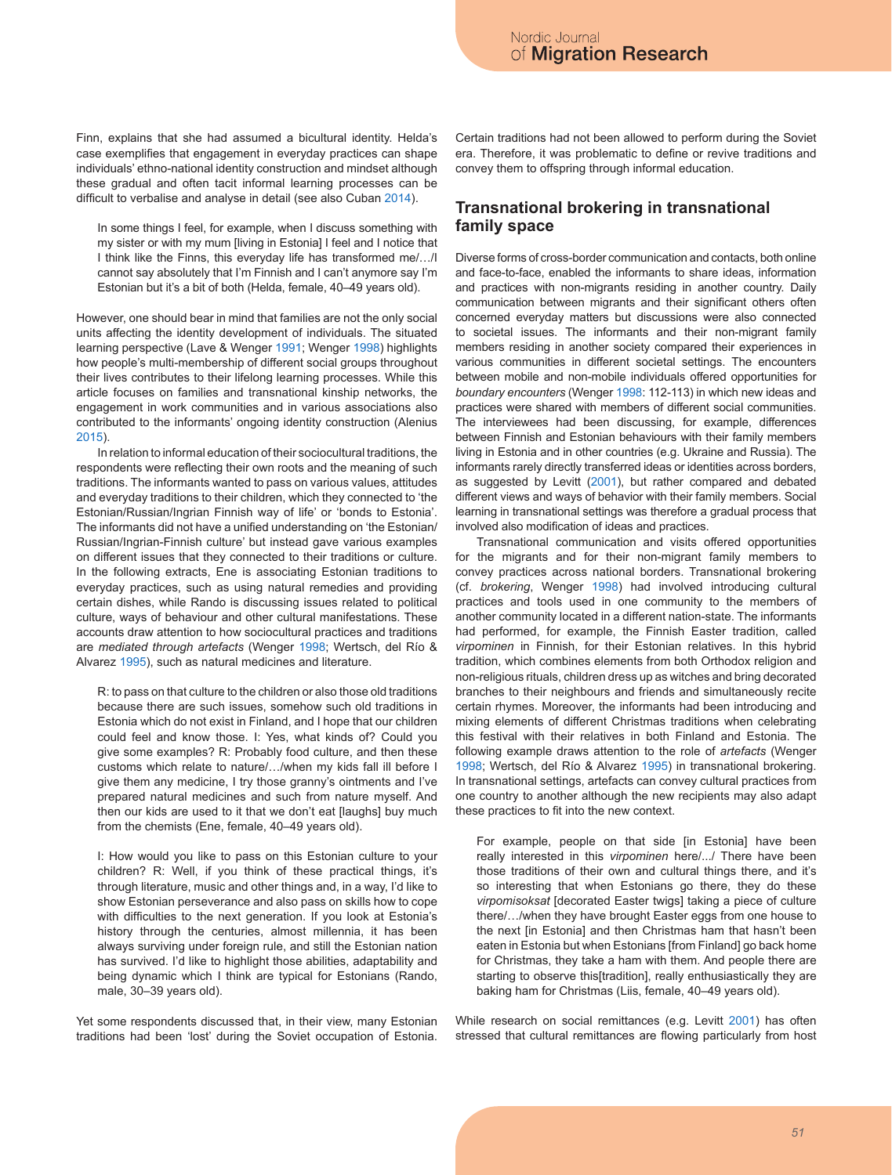Finn, explains that she had assumed a bicultural identity. Helda's case exemplifies that engagement in everyday practices can shape individuals' ethno-national identity construction and mindset although these gradual and often tacit informal learning processes can be difficult to verbalise and analyse in detail (see also Cuban 2014).

In some things I feel, for example, when I discuss something with my sister or with my mum [living in Estonia] I feel and I notice that I think like the Finns, this everyday life has transformed me/…/I cannot say absolutely that I'm Finnish and I can't anymore say I'm Estonian but it's a bit of both (Helda, female, 40–49 years old).

However, one should bear in mind that families are not the only social units affecting the identity development of individuals. The situated learning perspective (Lave & Wenger 1991; Wenger 1998) highlights how people's multi-membership of different social groups throughout their lives contributes to their lifelong learning processes. While this article focuses on families and transnational kinship networks, the engagement in work communities and in various associations also contributed to the informants' ongoing identity construction (Alenius 2015).

In relation to informal education of their sociocultural traditions, the respondents were reflecting their own roots and the meaning of such traditions. The informants wanted to pass on various values, attitudes and everyday traditions to their children, which they connected to 'the Estonian/Russian/Ingrian Finnish way of life' or 'bonds to Estonia'. The informants did not have a unified understanding on 'the Estonian/ Russian/Ingrian-Finnish culture' but instead gave various examples on different issues that they connected to their traditions or culture. In the following extracts, Ene is associating Estonian traditions to everyday practices, such as using natural remedies and providing certain dishes, while Rando is discussing issues related to political culture, ways of behaviour and other cultural manifestations. These accounts draw attention to how sociocultural practices and traditions are *mediated through artefacts* (Wenger 1998; Wertsch, del Río & Alvarez 1995), such as natural medicines and literature.

R: to pass on that culture to the children or also those old traditions because there are such issues, somehow such old traditions in Estonia which do not exist in Finland, and I hope that our children could feel and know those. I: Yes, what kinds of? Could you give some examples? R: Probably food culture, and then these customs which relate to nature/…/when my kids fall ill before I give them any medicine, I try those granny's ointments and I've prepared natural medicines and such from nature myself. And then our kids are used to it that we don't eat [laughs] buy much from the chemists (Ene, female, 40–49 years old).

I: How would you like to pass on this Estonian culture to your children? R: Well, if you think of these practical things, it's through literature, music and other things and, in a way, I'd like to show Estonian perseverance and also pass on skills how to cope with difficulties to the next generation. If you look at Estonia's history through the centuries, almost millennia, it has been always surviving under foreign rule, and still the Estonian nation has survived. I'd like to highlight those abilities, adaptability and being dynamic which I think are typical for Estonians (Rando, male, 30–39 years old).

Yet some respondents discussed that, in their view, many Estonian traditions had been 'lost' during the Soviet occupation of Estonia. Certain traditions had not been allowed to perform during the Soviet era. Therefore, it was problematic to define or revive traditions and convey them to offspring through informal education.

### **Transnational brokering in transnational family space**

Diverse forms of cross-border communication and contacts, both online and face-to-face, enabled the informants to share ideas, information and practices with non-migrants residing in another country. Daily communication between migrants and their significant others often concerned everyday matters but discussions were also connected to societal issues. The informants and their non-migrant family members residing in another society compared their experiences in various communities in different societal settings. The encounters between mobile and non-mobile individuals offered opportunities for *boundary encounters* (Wenger 1998: 112-113) in which new ideas and practices were shared with members of different social communities. The interviewees had been discussing, for example, differences between Finnish and Estonian behaviours with their family members living in Estonia and in other countries (e.g. Ukraine and Russia). The informants rarely directly transferred ideas or identities across borders, as suggested by Levitt (2001), but rather compared and debated different views and ways of behavior with their family members. Social learning in transnational settings was therefore a gradual process that involved also modification of ideas and practices.

Transnational communication and visits offered opportunities for the migrants and for their non-migrant family members to convey practices across national borders. Transnational brokering (cf. *brokering*, Wenger 1998) had involved introducing cultural practices and tools used in one community to the members of another community located in a different nation-state. The informants had performed, for example, the Finnish Easter tradition, called *virpominen* in Finnish, for their Estonian relatives. In this hybrid tradition, which combines elements from both Orthodox religion and non-religious rituals, children dress up as witches and bring decorated branches to their neighbours and friends and simultaneously recite certain rhymes. Moreover, the informants had been introducing and mixing elements of different Christmas traditions when celebrating this festival with their relatives in both Finland and Estonia. The following example draws attention to the role of *artefacts* (Wenger 1998; Wertsch, del Río & Alvarez 1995) in transnational brokering. In transnational settings, artefacts can convey cultural practices from one country to another although the new recipients may also adapt these practices to fit into the new context.

For example, people on that side [in Estonia] have been really interested in this *virpominen* here/.../ There have been those traditions of their own and cultural things there, and it's so interesting that when Estonians go there, they do these *virpomisoksat* [decorated Easter twigs] taking a piece of culture there/…/when they have brought Easter eggs from one house to the next [in Estonia] and then Christmas ham that hasn't been eaten in Estonia but when Estonians [from Finland] go back home for Christmas, they take a ham with them. And people there are starting to observe this[tradition], really enthusiastically they are baking ham for Christmas (Liis, female, 40–49 years old).

While research on social remittances (e.g. Levitt 2001) has often stressed that cultural remittances are flowing particularly from host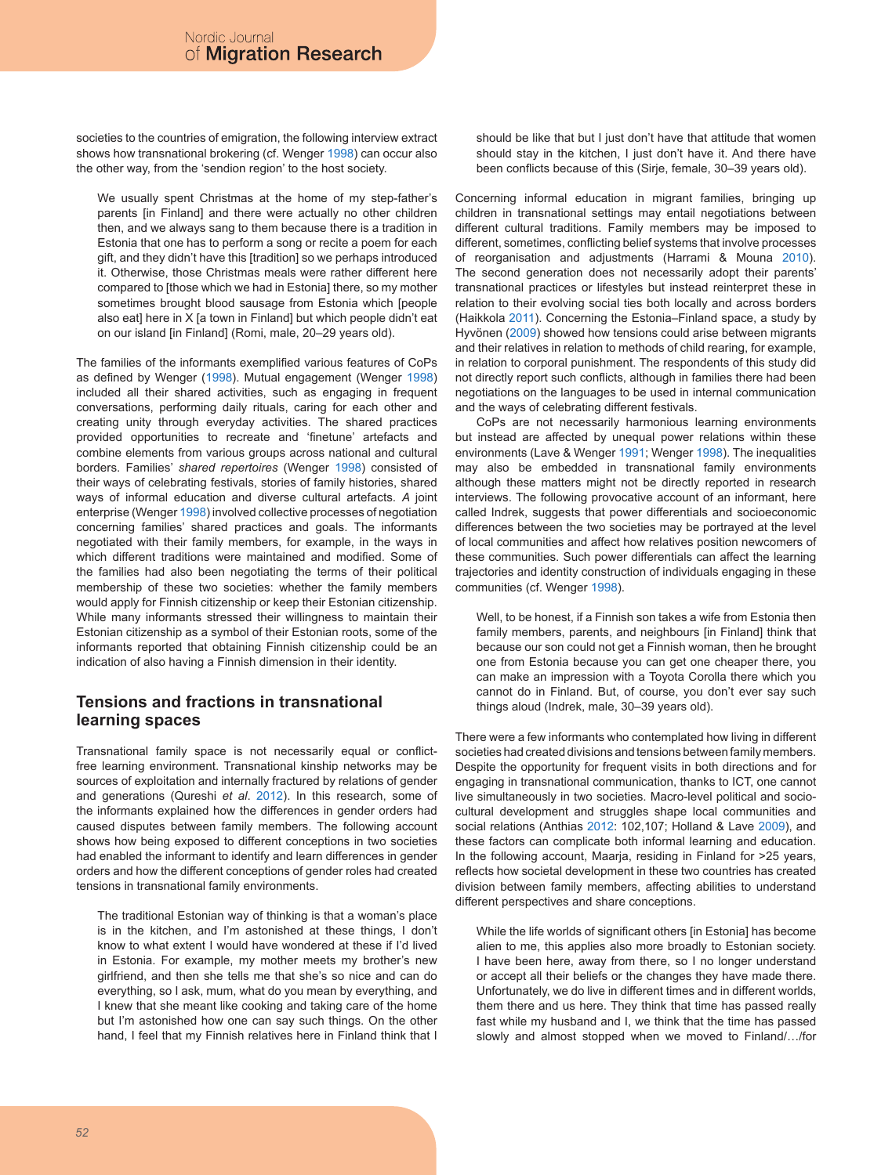societies to the countries of emigration, the following interview extract shows how transnational brokering (cf. Wenger 1998) can occur also the other way, from the 'sendion region' to the host society.

We usually spent Christmas at the home of my step-father's parents [in Finland] and there were actually no other children then, and we always sang to them because there is a tradition in Estonia that one has to perform a song or recite a poem for each gift, and they didn't have this [tradition] so we perhaps introduced it. Otherwise, those Christmas meals were rather different here compared to [those which we had in Estonia] there, so my mother sometimes brought blood sausage from Estonia which [people also eat] here in X [a town in Finland] but which people didn't eat on our island [in Finland] (Romi, male, 20–29 years old).

The families of the informants exemplified various features of CoPs as defined by Wenger (1998). Mutual engagement (Wenger 1998) included all their shared activities, such as engaging in frequent conversations, performing daily rituals, caring for each other and creating unity through everyday activities. The shared practices provided opportunities to recreate and 'finetune' artefacts and combine elements from various groups across national and cultural borders. Families' *shared repertoires* (Wenger 1998) consisted of their ways of celebrating festivals, stories of family histories, shared ways of informal education and diverse cultural artefacts. *A* joint enterprise (Wenger 1998) involved collective processes of negotiation concerning families' shared practices and goals. The informants negotiated with their family members, for example, in the ways in which different traditions were maintained and modified. Some of the families had also been negotiating the terms of their political membership of these two societies: whether the family members would apply for Finnish citizenship or keep their Estonian citizenship. While many informants stressed their willingness to maintain their Estonian citizenship as a symbol of their Estonian roots, some of the informants reported that obtaining Finnish citizenship could be an indication of also having a Finnish dimension in their identity.

# **Tensions and fractions in transnational learning spaces**

Transnational family space is not necessarily equal or conflictfree learning environment. Transnational kinship networks may be sources of exploitation and internally fractured by relations of gender and generations (Qureshi *et al*. 2012). In this research, some of the informants explained how the differences in gender orders had caused disputes between family members. The following account shows how being exposed to different conceptions in two societies had enabled the informant to identify and learn differences in gender orders and how the different conceptions of gender roles had created tensions in transnational family environments.

The traditional Estonian way of thinking is that a woman's place is in the kitchen, and I'm astonished at these things, I don't know to what extent I would have wondered at these if I'd lived in Estonia. For example, my mother meets my brother's new girlfriend, and then she tells me that she's so nice and can do everything, so I ask, mum, what do you mean by everything, and I knew that she meant like cooking and taking care of the home but I'm astonished how one can say such things. On the other hand, I feel that my Finnish relatives here in Finland think that I should be like that but I just don't have that attitude that women should stay in the kitchen, I just don't have it. And there have been conflicts because of this (Sirje, female, 30–39 years old).

Concerning informal education in migrant families, bringing up children in transnational settings may entail negotiations between different cultural traditions. Family members may be imposed to different, sometimes, conflicting belief systems that involve processes of reorganisation and adjustments (Harrami & Mouna 2010). The second generation does not necessarily adopt their parents' transnational practices or lifestyles but instead reinterpret these in relation to their evolving social ties both locally and across borders (Haikkola 2011). Concerning the Estonia–Finland space, a study by Hyvönen (2009) showed how tensions could arise between migrants and their relatives in relation to methods of child rearing, for example, in relation to corporal punishment. The respondents of this study did not directly report such conflicts, although in families there had been negotiations on the languages to be used in internal communication and the ways of celebrating different festivals.

CoPs are not necessarily harmonious learning environments but instead are affected by unequal power relations within these environments (Lave & Wenger 1991; Wenger 1998). The inequalities may also be embedded in transnational family environments although these matters might not be directly reported in research interviews. The following provocative account of an informant, here called Indrek, suggests that power differentials and socioeconomic differences between the two societies may be portrayed at the level of local communities and affect how relatives position newcomers of these communities. Such power differentials can affect the learning trajectories and identity construction of individuals engaging in these communities (cf. Wenger 1998).

Well, to be honest, if a Finnish son takes a wife from Estonia then family members, parents, and neighbours [in Finland] think that because our son could not get a Finnish woman, then he brought one from Estonia because you can get one cheaper there, you can make an impression with a Toyota Corolla there which you cannot do in Finland. But, of course, you don't ever say such things aloud (Indrek, male, 30–39 years old).

There were a few informants who contemplated how living in different societies had created divisions and tensions between family members. Despite the opportunity for frequent visits in both directions and for engaging in transnational communication, thanks to ICT, one cannot live simultaneously in two societies. Macro-level political and sociocultural development and struggles shape local communities and social relations (Anthias 2012: 102,107; Holland & Lave 2009), and these factors can complicate both informal learning and education. In the following account, Maarja, residing in Finland for >25 years, reflects how societal development in these two countries has created division between family members, affecting abilities to understand different perspectives and share conceptions.

While the life worlds of significant others [in Estonia] has become alien to me, this applies also more broadly to Estonian society. I have been here, away from there, so I no longer understand or accept all their beliefs or the changes they have made there. Unfortunately, we do live in different times and in different worlds, them there and us here. They think that time has passed really fast while my husband and I, we think that the time has passed slowly and almost stopped when we moved to Finland/…/for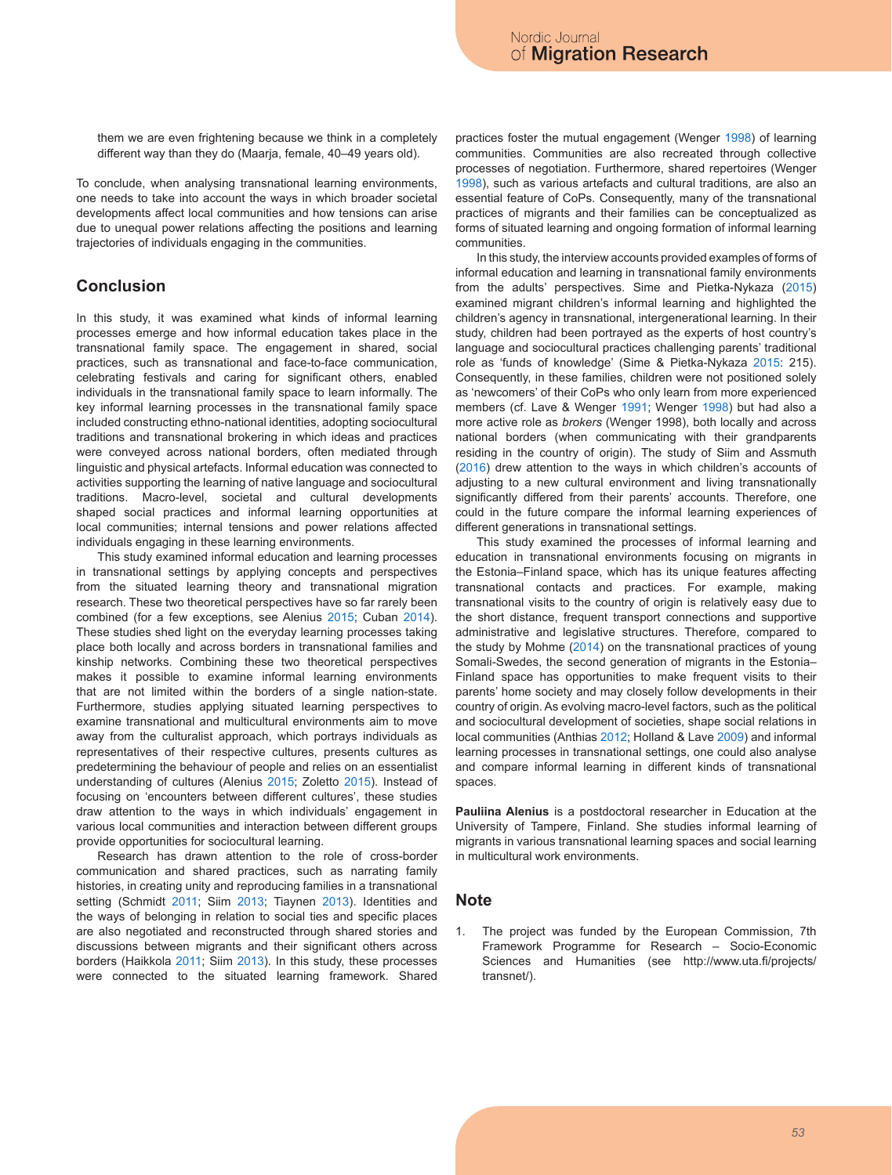them we are even frightening because we think in a completely different way than they do (Maarja, female, 40–49 years old).

To conclude, when analysing transnational learning environments, one needs to take into account the ways in which broader societal developments affect local communities and how tensions can arise due to unequal power relations affecting the positions and learning trajectories of individuals engaging in the communities.

#### **Conclusion**

In this study, it was examined what kinds of informal learning processes emerge and how informal education takes place in the transnational family space. The engagement in shared, social practices, such as transnational and face-to-face communication, celebrating festivals and caring for significant others, enabled individuals in the transnational family space to learn informally. The key informal learning processes in the transnational family space included constructing ethno-national identities, adopting sociocultural traditions and transnational brokering in which ideas and practices were conveyed across national borders, often mediated through linguistic and physical artefacts. Informal education was connected to activities supporting the learning of native language and sociocultural traditions. Macro-level, societal and cultural developments shaped social practices and informal learning opportunities at local communities; internal tensions and power relations affected individuals engaging in these learning environments.

This study examined informal education and learning processes in transnational settings by applying concepts and perspectives from the situated learning theory and transnational migration research. These two theoretical perspectives have so far rarely been combined (for a few exceptions, see Alenius 2015; Cuban 2014). These studies shed light on the everyday learning processes taking place both locally and across borders in transnational families and kinship networks. Combining these two theoretical perspectives makes it possible to examine informal learning environments that are not limited within the borders of a single nation-state. Furthermore, studies applying situated learning perspectives to examine transnational and multicultural environments aim to move away from the culturalist approach, which portrays individuals as representatives of their respective cultures, presents cultures as predetermining the behaviour of people and relies on an essentialist understanding of cultures (Alenius 2015; Zoletto 2015). Instead of focusing on 'encounters between different cultures', these studies draw attention to the ways in which individuals' engagement in various local communities and interaction between different groups provide opportunities for sociocultural learning.

Research has drawn attention to the role of cross-border communication and shared practices, such as narrating family histories, in creating unity and reproducing families in a transnational setting (Schmidt 2011; Siim 2013; Tiaynen 2013). Identities and the ways of belonging in relation to social ties and specific places are also negotiated and reconstructed through shared stories and discussions between migrants and their significant others across borders (Haikkola 2011; Siim 2013). In this study, these processes were connected to the situated learning framework. Shared

practices foster the mutual engagement (Wenger 1998) of learning communities. Communities are also recreated through collective processes of negotiation. Furthermore, shared repertoires (Wenger 1998), such as various artefacts and cultural traditions, are also an essential feature of CoPs. Consequently, many of the transnational practices of migrants and their families can be conceptualized as forms of situated learning and ongoing formation of informal learning communities.

In this study, the interview accounts provided examples of forms of informal education and learning in transnational family environments from the adults' perspectives. Sime and Pietka-Nykaza (2015) examined migrant children's informal learning and highlighted the children's agency in transnational, intergenerational learning. In their study, children had been portrayed as the experts of host country's language and sociocultural practices challenging parents' traditional role as 'funds of knowledge' (Sime & Pietka-Nykaza 2015: 215). Consequently, in these families, children were not positioned solely as 'newcomers' of their CoPs who only learn from more experienced members (cf. Lave & Wenger 1991; Wenger 1998) but had also a more active role as *brokers* (Wenger 1998), both locally and across national borders (when communicating with their grandparents residing in the country of origin). The study of Siim and Assmuth (2016) drew attention to the ways in which children's accounts of adjusting to a new cultural environment and living transnationally significantly differed from their parents' accounts. Therefore, one could in the future compare the informal learning experiences of different generations in transnational settings.

This study examined the processes of informal learning and education in transnational environments focusing on migrants in the Estonia–Finland space, which has its unique features affecting transnational contacts and practices. For example, making transnational visits to the country of origin is relatively easy due to the short distance, frequent transport connections and supportive administrative and legislative structures. Therefore, compared to the study by Mohme (2014) on the transnational practices of young Somali-Swedes, the second generation of migrants in the Estonia– Finland space has opportunities to make frequent visits to their parents' home society and may closely follow developments in their country of origin. As evolving macro-level factors, such as the political and sociocultural development of societies, shape social relations in local communities (Anthias 2012; Holland & Lave 2009) and informal learning processes in transnational settings, one could also analyse and compare informal learning in different kinds of transnational spaces.

**Pauliina Alenius** is a postdoctoral researcher in Education at the University of Tampere, Finland. She studies informal learning of migrants in various transnational learning spaces and social learning in multicultural work environments.

#### **Note**

1. The project was funded by the European Commission, 7th Framework Programme for Research – Socio-Economic Sciences and Humanities (see http://www.uta.fi/projects/ transnet/).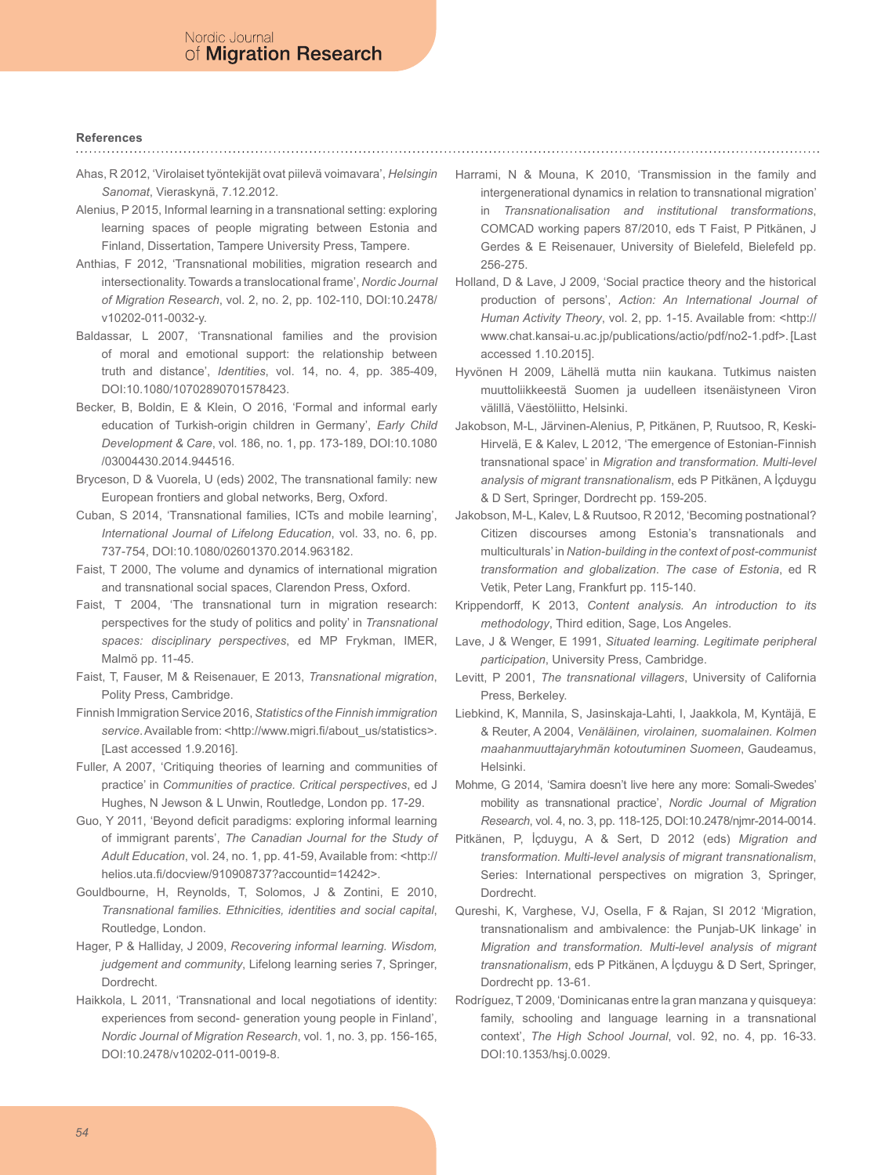#### **References**

- Ahas, R 2012, 'Virolaiset työntekijät ovat piilevä voimavara', *Helsingin Sanomat*, Vieraskynä, 7.12.2012.
- Alenius, P 2015, Informal learning in a transnational setting: exploring learning spaces of people migrating between Estonia and Finland, Dissertation, Tampere University Press, Tampere.
- Anthias, F 2012, 'Transnational mobilities, migration research and intersectionality. Towards a translocational frame', *Nordic Journal of Migration Research*, vol. 2, no. 2, pp. 102-110, DOI:10.2478/ v10202-011-0032-y.
- Baldassar, L 2007, 'Transnational families and the provision of moral and emotional support: the relationship between truth and distance', *Identities*, vol. 14, no. 4, pp. 385-409, DOI:10.1080/10702890701578423.
- Becker, B, Boldin, E & Klein, O 2016, 'Formal and informal early education of Turkish-origin children in Germany', *Early Child Development & Care*, vol. 186, no. 1, pp. 173-189, DOI:10.1080 /03004430.2014.944516.
- Bryceson, D & Vuorela, U (eds) 2002, The transnational family: new European frontiers and global networks, Berg, Oxford.
- Cuban, S 2014, 'Transnational families, ICTs and mobile learning', *International Journal of Lifelong Education*, vol. 33, no. 6, pp. 737-754, DOI:10.1080/02601370.2014.963182.
- Faist, T 2000, The volume and dynamics of international migration and transnational social spaces, Clarendon Press, Oxford.
- Faist, T 2004, 'The transnational turn in migration research: perspectives for the study of politics and polity' in *Transnational spaces: disciplinary perspectives*, ed MP Frykman, IMER, Malmö pp. 11-45.
- Faist, T, Fauser, M & Reisenauer, E 2013, *Transnational migration*, Polity Press, Cambridge.
- Finnish Immigration Service 2016, *Statistics of the Finnish immigration*  service. Available from: <http://www.migri.fi/about\_us/statistics>. [Last accessed 1.9.2016].
- Fuller, A 2007, 'Critiquing theories of learning and communities of practice' in *Communities of practice. Critical perspectives*, ed J Hughes, N Jewson & L Unwin, Routledge, London pp. 17-29.
- Guo, Y 2011, 'Beyond deficit paradigms: exploring informal learning of immigrant parents', *The Canadian Journal for the Study of Adult Education*, vol. 24, no. 1, pp. 41-59, Available from: <http:// helios.uta.fi/docview/910908737?accountid=14242>.
- Gouldbourne, H, Reynolds, T, Solomos, J & Zontini, E 2010, *Transnational families. Ethnicities, identities and social capital*, Routledge, London.
- Hager, P & Halliday, J 2009, *Recovering informal learning. Wisdom, judgement and community*, Lifelong learning series 7, Springer, Dordrecht.
- Haikkola, L 2011, 'Transnational and local negotiations of identity: experiences from second- generation young people in Finland', *Nordic Journal of Migration Research*, vol. 1, no. 3, pp. 156-165, DOI:10.2478/v10202-011-0019-8.

Harrami, N & Mouna, K 2010, 'Transmission in the family and intergenerational dynamics in relation to transnational migration' in *Transnationalisation and institutional transformations*, COMCAD working papers 87/2010, eds T Faist, P Pitkänen, J Gerdes & E Reisenauer, University of Bielefeld, Bielefeld pp. 256-275.

- Holland, D & Lave, J 2009, 'Social practice theory and the historical production of persons', *Action: An International Journal of Human Activity Theory*, vol. 2, pp. 1-15. Available from: <http:// www.chat.kansai-u.ac.jp/publications/actio/pdf/no2-1.pdf>. [Last accessed 1.10.2015].
- Hyvönen H 2009, Lähellä mutta niin kaukana. Tutkimus naisten muuttoliikkeestä Suomen ja uudelleen itsenäistyneen Viron välillä, Väestöliitto, Helsinki.
- Jakobson, M-L, Järvinen-Alenius, P, Pitkänen, P, Ruutsoo, R, Keski-Hirvelä, E & Kalev, L 2012, 'The emergence of Estonian-Finnish transnational space' in *Migration and transformation. Multi-level analysis of migrant transnationalism*, eds P Pitkänen, A İçduygu & D Sert, Springer, Dordrecht pp. 159-205.
- Jakobson, M-L, Kalev, L & Ruutsoo, R 2012, 'Becoming postnational? Citizen discourses among Estonia's transnationals and multiculturals' in *Nation-building in the context of post-communist transformation and globalization*. *The case of Estonia*, ed R Vetik, Peter Lang, Frankfurt pp. 115-140.
- Krippendorff, K 2013, *Content analysis. An introduction to its methodology*, Third edition, Sage, Los Angeles.
- Lave, J & Wenger, E 1991, *Situated learning. Legitimate peripheral participation*, University Press, Cambridge.
- Levitt, P 2001, *The transnational villagers*, University of California Press, Berkeley.
- Liebkind, K, Mannila, S, Jasinskaja-Lahti, I, Jaakkola, M, Kyntäjä, E & Reuter, A 2004, *Venäläinen, virolainen, suomalainen. Kolmen maahanmuuttajaryhmän kotoutuminen Suomeen*, Gaudeamus, Helsinki.
- Mohme, G 2014, 'Samira doesn't live here any more: Somali-Swedes' mobility as transnational practice', *Nordic Journal of Migration Research*, vol. 4, no. 3, pp. 118-125, DOI:10.2478/njmr-2014-0014.
- Pitkänen, P, İçduygu, A & Sert, D 2012 (eds) *Migration and transformation. Multi-level analysis of migrant transnationalism*, Series: International perspectives on migration 3, Springer, Dordrecht.
- Qureshi, K, Varghese, VJ, Osella, F & Rajan, SI 2012 'Migration, transnationalism and ambivalence: the Punjab-UK linkage' in *Migration and transformation. Multi-level analysis of migrant transnationalism*, eds P Pitkänen, A İçduygu & D Sert, Springer, Dordrecht pp. 13-61.
- Rodríguez, T 2009, 'Dominicanas entre la gran manzana y quisqueya: family, schooling and language learning in a transnational context', *The High School Journal*, vol. 92, no. 4, pp. 16-33. DOI:10.1353/hsj.0.0029.